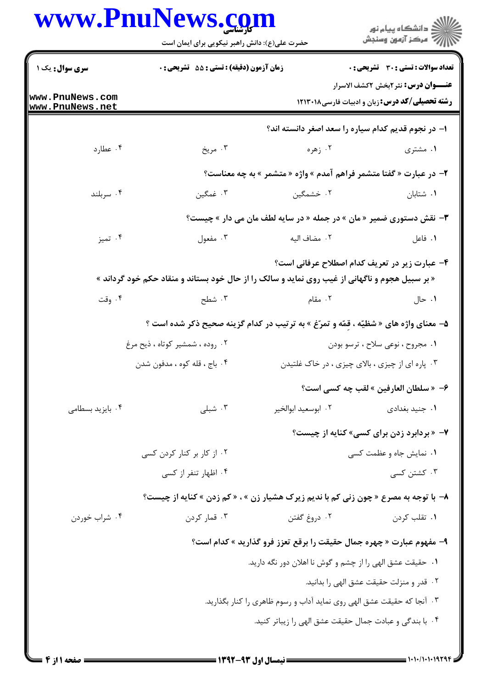|                                    | حضرت علی(ع): دانش راهبر نیکویی برای ایمان است                                                  |                                                                                      | ڪ دانشڪاه پيا <sub>م</sub> نور<br>۾ سرڪز آزمون وسنڊش                                                |
|------------------------------------|------------------------------------------------------------------------------------------------|--------------------------------------------------------------------------------------|-----------------------------------------------------------------------------------------------------|
| سری سوال: یک ۱                     | زمان آزمون (دقیقه) : تستی : 55 آتشریحی : 0                                                     |                                                                                      | <b>تعداد سوالات : تستی : 30 ٪ تشریحی : 0</b>                                                        |
| www.PnuNews.com<br>www.PnuNews.net |                                                                                                |                                                                                      | <b>عنـــوان درس:</b> نثر ۲بخش ۲کشف الاسرار<br><b>رشته تحصیلی/کد درس:</b> زبان و ادبیات فارسی۱۲۱۳۰۱۸ |
|                                    |                                                                                                | ۱– در نجوم قدیم کدام سیاره را سعد اصغر دانسته اند؟                                   |                                                                                                     |
| ۰۴ عطارد                           | ۰۳ مريخ                                                                                        | ۲. زهره                                                                              | ۰۱ مشتری                                                                                            |
|                                    |                                                                                                | ۲- در عبارت « گفتا متشمر فراهم آمدم » واژه « متشمر » به چه معناست؟                   |                                                                                                     |
| ۰۴ سربلند                          | ۰۳ غمگین                                                                                       | ۰۲ خشمگین                                                                            | ٠١. شتابان                                                                                          |
|                                    |                                                                                                | <b>۳</b> - نقش دستوری ضمیر « مان » در جمله « در سایه لطف مان می دار » چیست؟          |                                                                                                     |
| ۰۴ تميز                            | ۰۳ مفعول                                                                                       | ٢.  مضاف اليه                                                                        | ۰۱ فاعل                                                                                             |
|                                    |                                                                                                |                                                                                      | ۴- عبارت زیر در تعریف کدام اصطلاح عرفانی است؟                                                       |
|                                    | « بر سبیل هجوم و ناگهانی از غیب روی نماید و سالک را از حال خود بستاند و منقاد حکم خود گرداند » |                                                                                      |                                                                                                     |
| ۰۴ وقت                             | ۰۳ شطح                                                                                         | ۰۲ مقام                                                                              | ۰۱ حال                                                                                              |
|                                    |                                                                                                | ۵- معنای واژه های « شظیّه ، قمّه و تمرّغ » به ترتیب در کدام گزینه صحیح ذکر شده است ؟ |                                                                                                     |
|                                    | ۰۲ روده ، شمشیر کوتاه ، ذیح مرغ                                                                |                                                                                      | ۰۱ مجروح ، نوعی سلاح ، ترسو بودن                                                                    |
|                                    | ۰۴ باج ، قله کوه ، مدفون شدن                                                                   |                                                                                      | ۰۳ پاره ای از چیزی ، بالای چیزی ، در خاک غلتیدن                                                     |
|                                    |                                                                                                |                                                                                      | ۶- « سلطان العارفين » لقب چه كسي است؟                                                               |
| ۰۴ بایزید بسطامی                   | ۰۳ شبلی                                                                                        | ۰۲ ابوسعید ابوالخیر                                                                  | ۰۱ جنید بغدادی                                                                                      |
|                                    |                                                                                                |                                                                                      | ۷- «بردابرد زدن برای کسی» کنایه از چیست؟                                                            |
|                                    | ۰۲ از کار بر کنار کردن کسی                                                                     |                                                                                      | ۰۱ نمایش جاه و عظمت کسی                                                                             |
|                                    | ۰۴ اظهار تنفر از کسی                                                                           |                                                                                      | ۰۳ کشتن کسی                                                                                         |
|                                    | ۸- با توجه به مصرع « چون زنی کم با ندیم زیرک هشیار زن » ، « کم زدن » کنایه از چیست؟            |                                                                                      |                                                                                                     |
| ۰۴ شراب خوردن                      | ۰۳ قمار کردن                                                                                   | ۰۲ دروغ گفتن                                                                         | ۰۱ تقلب کردن                                                                                        |
|                                    |                                                                                                | ۹- مفهوم عبارت « چهره جمال حقیقت را برقع تعزز فرو گذارید » کدام است؟                 |                                                                                                     |
|                                    |                                                                                                | ۰۱ حقیقت عشق الهی را از چشم و گوش نا اهلان دور نگه دارید.                            |                                                                                                     |
|                                    |                                                                                                |                                                                                      | ٢. قدر و منزلت حقيقت عشق الهي را بدانيد.                                                            |
|                                    |                                                                                                | ۰۳ آنجا که حقیقت عشق الهی روی نماید آداب و رسوم ظاهری را کنار بگذارید.               |                                                                                                     |
|                                    |                                                                                                | ۰۴ با بندگی و عبادت جمال حقیقت عشق الهی را زیباتر کنید.                              |                                                                                                     |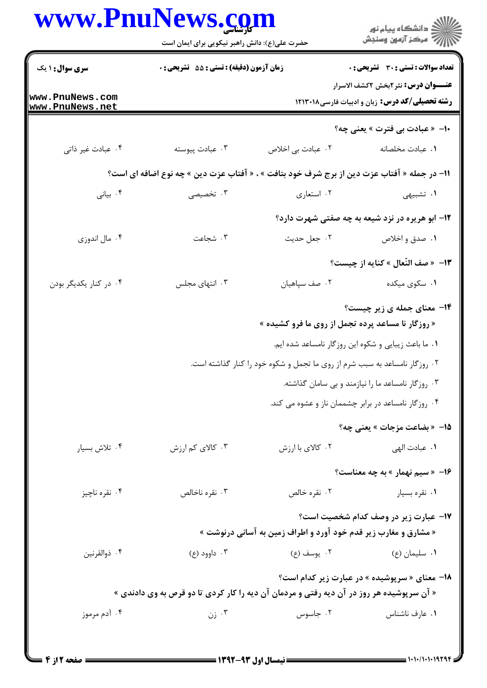|                        | www.PnuNews.com<br>حضرت علی(ع): دانش راهبر نیکویی برای ایمان است<br>زمان آزمون (دقیقه) : تستی : 55 آتشریحی : 0 |                                                                                             | ر<br>دانشڪاه پيام نور)<br>اڳ مرڪز آزمون وسنڊش                                                                |  |
|------------------------|----------------------------------------------------------------------------------------------------------------|---------------------------------------------------------------------------------------------|--------------------------------------------------------------------------------------------------------------|--|
| <b>سری سوال : ۱ یک</b> |                                                                                                                |                                                                                             | <b>تعداد سوالات : تستی : 30 ٪ تشریحی : 0</b>                                                                 |  |
| www.PnuNews.com        |                                                                                                                |                                                                                             | <b>عنـــوان درس:</b> نثر <i>۲بخ</i> ش ۲کشف الاسرار<br><b>رشته تحصیلی/کد درس:</b> زبان و ادبیات فارسی ۱۲۱۳۰۱۸ |  |
| www.PnuNews.net        |                                                                                                                |                                                                                             | ∙ا− « عبادت بي فترت » يعني چه؟                                                                               |  |
| ۰۴ عبادت غير ذاتي      | ۰۳ عبادت پیوسته                                                                                                | ۰۲ عبادت بی اخلاص                                                                           | ٠١. عبادت مخلصانه                                                                                            |  |
|                        |                                                                                                                | 11– در جمله « آفتاب عزت دین از برج شرف خود بتافت » ، « آفتاب عزت دین » چه نوع اضافه ای است؟ |                                                                                                              |  |
| ۰۴ بیانی               | ۰۳ تخصیصی                                                                                                      | ۰۲ استعاری                                                                                  | ۱. تشبیهی                                                                                                    |  |
|                        |                                                                                                                |                                                                                             | <b>۱۲</b> - ابو هریره در نزد شیعه به چه صفتی شهرت دارد؟                                                      |  |
| ۰۴ مال اندوزي          | ۰۳ شجاعت                                                                                                       | ۰۲ جعل حديث                                                                                 | ۰۱ صدق و اخلاص                                                                                               |  |
|                        |                                                                                                                |                                                                                             | 1۳- « صف النّعال » كنايه از چيست؟                                                                            |  |
| ۰۴ در کنار یکدیگر بودن | ۰۳ انتهای مجلس                                                                                                 | ٠٢ صف سپاهيان                                                                               | ۰۱ سکوی میکده                                                                                                |  |
|                        |                                                                                                                | « روزگار نا مساعد پرده تجمل از روی ما فرو کشیده »                                           | <b>۱۴- معنای جمله ی زیر چیست؟</b>                                                                            |  |
|                        |                                                                                                                |                                                                                             | ۰۱ ما باعث زیبایی و شکوه این روزگار نامساعد شده ایم.                                                         |  |
|                        |                                                                                                                | ۰۲ روزگار نامساعد به سبب شرم از روی ما تجمل و شکوه خود را کنار گذاشته است.                  |                                                                                                              |  |
|                        |                                                                                                                |                                                                                             | ۰۳ روزگار نامساعد ما را نیازمند و بی سامان گذاشته.                                                           |  |
|                        |                                                                                                                |                                                                                             | ۰۴ روزگار نامساعد در برابر چشممان ناز و عشوه می کند.                                                         |  |
|                        |                                                                                                                |                                                                                             | 15- «بضاعت مزجات » يعني چه؟                                                                                  |  |
| ۰۴ تلاش بسيار          | ۰۳ کالای کم ارزش                                                                                               | ۰۲ کالای با ارزش                                                                            | ٠١ عبادت الهي                                                                                                |  |
|                        |                                                                                                                |                                                                                             | <b>۱۶</b> - «سیم نهمار » به چه معناست؟                                                                       |  |
| ۰۴ نقره ناچيز          | ۰۳ نقره ناخالص                                                                                                 | ۰۲ نقره خالص                                                                                | ۰۱ نقره بسیار                                                                                                |  |
|                        |                                                                                                                | « مشارق و مغارب زیر قدم خود آورد و اطراف زمین به آسانی درنوشت »                             | ۱۷– عبارت زیر در وصف کدام شخصیت است؟                                                                         |  |
| ۰۴ ذوالقرنين           | ۰۳ داوود (ع)                                                                                                   | ۰۲ يوسف (ع)                                                                                 | ۰۱ سلیمان (ع)                                                                                                |  |
|                        |                                                                                                                | « آن سرپوشیده هر روز در آن دیه رفتی و مردمان آن دیه را کار کردی تا دو قرص به وی دادندی »    | <b>۱۸</b> - معنای « سرپوشیده » در عبارت زیر کدام است؟                                                        |  |
| ۰۴ آدم مرموز           | ۰۳ زن                                                                                                          | ۰۲ جاسوس                                                                                    | ٠١ عارف ناشناس                                                                                               |  |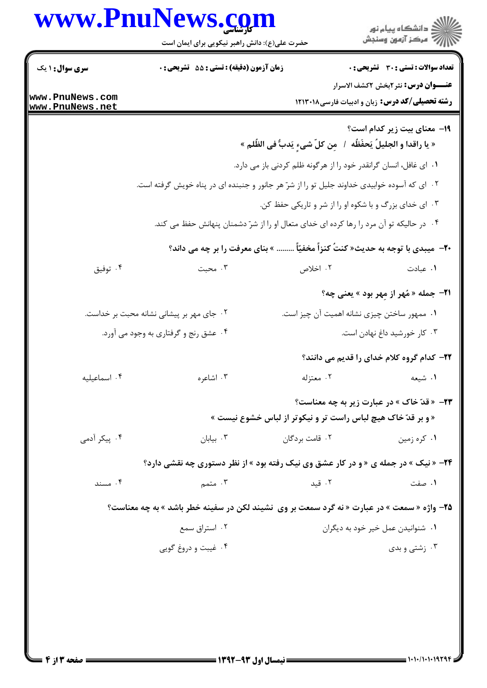|                                                        | حضرت علی(ع): دانش راهبر نیکویی برای ایمان است                                                |                                                                                         | ڪ دانشڪاه پيام نور<br>//> مرڪز آزمون وسنڊش                                                           |  |  |
|--------------------------------------------------------|----------------------------------------------------------------------------------------------|-----------------------------------------------------------------------------------------|------------------------------------------------------------------------------------------------------|--|--|
| <b>سری سوال : ۱ یک</b>                                 | زمان آزمون (دقیقه) : تستی : 55 آتشریحی : 0                                                   |                                                                                         | <b>تعداد سوالات : تستی : 30 ٪ تشریحی : 0</b>                                                         |  |  |
| www.PnuNews.com<br>www.PnuNews.net                     |                                                                                              |                                                                                         | <b>عنـــوان درس:</b> نثر ۲بخش ۲کشف الاسرار<br><b>رشته تحصیلی/کد درس:</b> زبان و ادبیات فارسی ۱۲۱۳۰۱۸ |  |  |
|                                                        |                                                                                              | « يا راقدا و الجليلُ يَحفَظُه  /  مِن كلّ شيءٍ يَدبُّ في الظُّلم »                      | <b>۱۹</b> معنای بیت زیر کدام است؟                                                                    |  |  |
|                                                        | ۰۱ ای غافل، انسان گرانقدر خود را از هرگونه ظلم کردنی باز می دارد.                            |                                                                                         |                                                                                                      |  |  |
|                                                        | ۲. ای که آسوده خوابیدی خداوند جلیل تو را از شرّ هر جانور و جنبنده ای در پناه خویش گرفته است. |                                                                                         |                                                                                                      |  |  |
| ۰۳ ای خدای بزرگ و با شکوه او را از شر و تاریکی حفظ کن. |                                                                                              |                                                                                         |                                                                                                      |  |  |
|                                                        |                                                                                              | ۰۴ در حالیکه تو آن مرد را رها کرده ای خدای متعال او را از شرّ دشمنان پنهانش حفظ می کند. |                                                                                                      |  |  |
|                                                        |                                                                                              | <b>۳۰</b> -  میبدی با توجه به حدیث« کنتُ کنزاً مخفیّاً  » بنای معرفت را بر چه می داند؟  |                                                                                                      |  |  |
| ۰۴ توفيق                                               | ۰۳ محبت                                                                                      | ۰۲ اخلاص                                                                                | ۰۱ عبادت                                                                                             |  |  |
|                                                        |                                                                                              |                                                                                         | <b>٢١- جمله « مُهر از مِهر بود » يعني چه؟</b>                                                        |  |  |
|                                                        | ۰۲ جای مهر بر پیشانی نشانه محبت بر خداست.                                                    | ٠١ ممهور ساختن چيزى نشانه اهميت آن چيز است.                                             |                                                                                                      |  |  |
|                                                        | ۰۴ عشق رنج و گرفتاری به وجود می آورد.                                                        |                                                                                         | ۰۳ کار خورشید داغ نهادن است.                                                                         |  |  |
|                                                        |                                                                                              |                                                                                         | ۲۲– کدام گروه کلام خدای را قدیم می دانند؟                                                            |  |  |
| ۰۴ اسماعیلیه                                           | ۰۳ اشاعره                                                                                    |                                                                                         | ١. شيعه مستنزله                                                                                      |  |  |
|                                                        |                                                                                              |                                                                                         | <b>۲۳</b> - «قدّ خاک » در عبارت زیر به چه معناست؟                                                    |  |  |
|                                                        |                                                                                              | « و بر قدّ خاک هیچ لباس راست تر و نیکوتر از لباس خشوع نیست »                            |                                                                                                      |  |  |
| ۰۴ پیکر آدمی                                           | $\cdot$ بيابان ۲۰                                                                            | ۰۲ قامت بردگان                                                                          | ۰۱ کره زمین                                                                                          |  |  |
|                                                        | <b>۲۴</b> - « نیک » در جمله ی « و در کار عشق وی نیک رفته بود » از نظر دستوری چه نقشی دارد؟   |                                                                                         |                                                                                                      |  |  |
| ۰۴ مسند                                                | ۰۳ متمم $\cdot$                                                                              | ۰۲ قید                                                                                  | ۰۱ صفت                                                                                               |  |  |
|                                                        | 7۵- واژه « سمعت » در عبارت « نه گرد سمعت بر وی  نشیند لکن در سفینه خطر باشد » به چه معناست؟  |                                                                                         |                                                                                                      |  |  |
| ۰۲ استراق سمع                                          |                                                                                              |                                                                                         | ۰۱ شنوانیدن عمل خیر خود به دیگران                                                                    |  |  |
|                                                        | ۰۴ غیبت و دروغ گویی                                                                          |                                                                                         | ۰۳ زشتی و بدی                                                                                        |  |  |